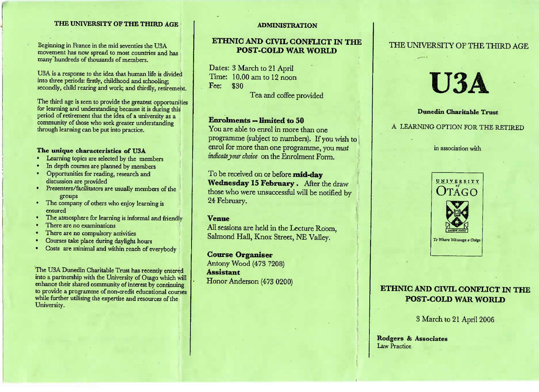### **THE UNIVERSITY OF THE THIRD AGE**

Beginning in Trance in the find severifies the O3A movement has now spread to most countries and has n France in the mid seventies the USAmovement has no w sprea many hundreds of thousands of members.

 $\frac{1}{2}$  a response to the fitted that numan the is divided A is a response to the idea that humans into three periods: firstly, childhoo d an d schooling; secondly, child rearing and work; and thirdly, retirement.

The time age is seen to provide the greatest opportunities<br>for learning and understanding because it is during this of tearning and understanding because it is during this<br>period of retirement that the idea of a university as a  $\frac{1}{2}$  community of those who seek greater understanding<br>community of those who seek greater understanding d of retirement that the idea of a universitcommunity of those who see through learning can be put into practice.

### **The characteristics of U3A**

- **Learning topics are selected by the n**
- In denth courses are planned by members In appen courses are plainfed by
- n depin courses are planned by members<br>Doportunities for reading, research and discussion are provided h and
- discussion are provided<br>
Presenters/facilitators are usually members of the
- The company of others who enjoy learning is
- ensure d The atmosphere for learning is informal and friendly
- 
- There are no compulsory as
- to compulsory activities<br>e place during davlight
- Courses take place during daylight hours Costs are minimal and within reach of everybod

The USA Dunedin Charitable Trust has recently entered into a partnership with the University of Otago which will nhance their shared community of interest by continuance their shared community of interest by contin re community of interest by community<br>unme of non-credit educational courses to provide a programme of non-credit educational courseswhile further utilising the expertise and resources of the University.

#### **ADMINISTRATION**

### **ETHNIC AND CIVIL CONFLICT IN THEPOST-COLD WAR WORLD**

Dates: 3 March to 21 April Time: 10.00 am to 12 noon $r$ ee:  $\sqrt{3}$ 00

**1** ea and coffee provided

### **Enrolments — limited to 50**

 You are able to enrol in more than one programme (subject to numbers). If you wish to enrol for more than one programme, you *mustindicate your choice* on the Enrolment Form.

To be received on or before **mid-day Wednesday 15 February** . After the draw those who were unsuccessful will be notified by24 February.

### **Venue**

 All sessions are held in the Lecture Room,Salmond Hall, Knox Street, NE Valley.

**Course Organiser** Antony Wood (473 7208) **Assistant**Honor Anderson (473 0200)

### THE UNIVERSITY OF THE THIRD AGE

# Vy %7xA.

**Dunedin Charitable Trust**

A LEARNING OPTION FOR THE RETIRED

in association with



# **ETHNIC AND CIVIL CONFLICT IN THEPOST-COLD WAR WORLD**

3 March to 21 April 2006

**Rodgers & Associates**aw Practice